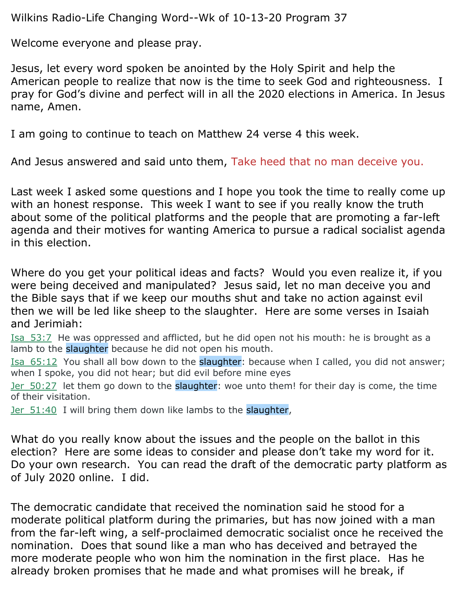Wilkins Radio-Life Changing Word--Wk of 10-13-20 Program 37

Welcome everyone and please pray.

Jesus, let every word spoken be anointed by the Holy Spirit and help the American people to realize that now is the time to seek God and righteousness. I pray for God's divine and perfect will in all the 2020 elections in America. In Jesus name, Amen.

I am going to continue to teach on Matthew 24 verse 4 this week.

And Jesus answered and said unto them, Take heed that no man deceive you.

Last week I asked some questions and I hope you took the time to really come up with an honest response. This week I want to see if you really know the truth about some of the political platforms and the people that are promoting a far-left agenda and their motives for wanting America to pursue a radical socialist agenda in this election.

Where do you get your political ideas and facts? Would you even realize it, if you were being deceived and manipulated? Jesus said, let no man deceive you and the Bible says that if we keep our mouths shut and take no action against evil then we will be led like sheep to the slaughter. Here are some verses in Isaiah and Jerimiah:

Isa\_53:7 He was oppressed and afflicted, but he did open not his mouth: he is brought as a lamb to the slaughter because he did not open his mouth.

Isa 65:12 You shall all bow down to the slaughter: because when I called, you did not answer; when I spoke, you did not hear; but did evil before mine eyes

Jer 50:27 let them go down to the slaughter: woe unto them! for their day is come, the time of their visitation.

Jer\_51:40 I will bring them down like lambs to the slaughter,

What do you really know about the issues and the people on the ballot in this election? Here are some ideas to consider and please don't take my word for it. Do your own research. You can read the draft of the democratic party platform as of July 2020 online. I did.

The democratic candidate that received the nomination said he stood for a moderate political platform during the primaries, but has now joined with a man from the far-left wing, a self-proclaimed democratic socialist once he received the nomination. Does that sound like a man who has deceived and betrayed the more moderate people who won him the nomination in the first place. Has he already broken promises that he made and what promises will he break, if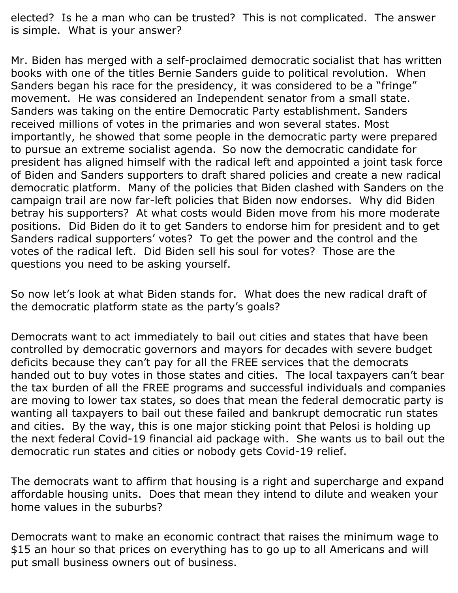elected? Is he a man who can be trusted? This is not complicated. The answer is simple. What is your answer?

Mr. Biden has merged with a self-proclaimed democratic socialist that has written books with one of the titles Bernie Sanders guide to political revolution. When Sanders began his race for the presidency, it was considered to be a "fringe" movement. He was considered an Independent senator from a small state. Sanders was taking on the entire Democratic Party establishment. Sanders received millions of votes in the primaries and won several states. Most importantly, he showed that some people in the democratic party were prepared to pursue an extreme socialist agenda. So now the democratic candidate for president has aligned himself with the radical left and appointed a joint task force of Biden and Sanders supporters to draft shared policies and create a new radical democratic platform. Many of the policies that Biden clashed with Sanders on the campaign trail are now far-left policies that Biden now endorses. Why did Biden betray his supporters? At what costs would Biden move from his more moderate positions. Did Biden do it to get Sanders to endorse him for president and to get Sanders radical supporters' votes? To get the power and the control and the votes of the radical left. Did Biden sell his soul for votes? Those are the questions you need to be asking yourself.

So now let's look at what Biden stands for. What does the new radical draft of the democratic platform state as the party's goals?

Democrats want to act immediately to bail out cities and states that have been controlled by democratic governors and mayors for decades with severe budget deficits because they can't pay for all the FREE services that the democrats handed out to buy votes in those states and cities. The local taxpayers can't bear the tax burden of all the FREE programs and successful individuals and companies are moving to lower tax states, so does that mean the federal democratic party is wanting all taxpayers to bail out these failed and bankrupt democratic run states and cities. By the way, this is one major sticking point that Pelosi is holding up the next federal Covid-19 financial aid package with. She wants us to bail out the democratic run states and cities or nobody gets Covid-19 relief.

The democrats want to affirm that housing is a right and supercharge and expand affordable housing units. Does that mean they intend to dilute and weaken your home values in the suburbs?

Democrats want to make an economic contract that raises the minimum wage to \$15 an hour so that prices on everything has to go up to all Americans and will put small business owners out of business.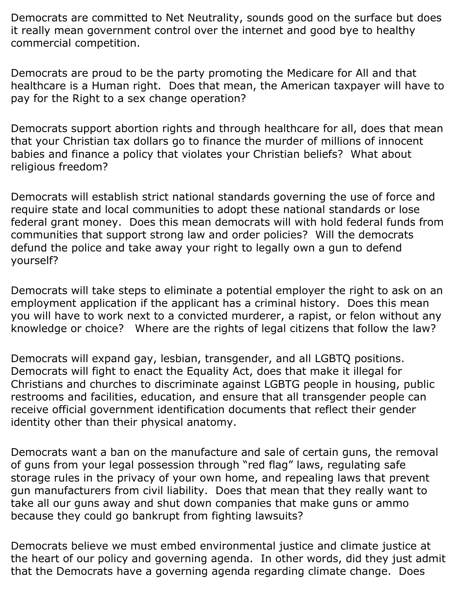Democrats are committed to Net Neutrality, sounds good on the surface but does it really mean government control over the internet and good bye to healthy commercial competition.

Democrats are proud to be the party promoting the Medicare for All and that healthcare is a Human right. Does that mean, the American taxpayer will have to pay for the Right to a sex change operation?

Democrats support abortion rights and through healthcare for all, does that mean that your Christian tax dollars go to finance the murder of millions of innocent babies and finance a policy that violates your Christian beliefs? What about religious freedom?

Democrats will establish strict national standards governing the use of force and require state and local communities to adopt these national standards or lose federal grant money. Does this mean democrats will with hold federal funds from communities that support strong law and order policies? Will the democrats defund the police and take away your right to legally own a gun to defend yourself?

Democrats will take steps to eliminate a potential employer the right to ask on an employment application if the applicant has a criminal history. Does this mean you will have to work next to a convicted murderer, a rapist, or felon without any knowledge or choice? Where are the rights of legal citizens that follow the law?

Democrats will expand gay, lesbian, transgender, and all LGBTQ positions. Democrats will fight to enact the Equality Act, does that make it illegal for Christians and churches to discriminate against LGBTG people in housing, public restrooms and facilities, education, and ensure that all transgender people can receive official government identification documents that reflect their gender identity other than their physical anatomy.

Democrats want a ban on the manufacture and sale of certain guns, the removal of guns from your legal possession through "red flag" laws, regulating safe storage rules in the privacy of your own home, and repealing laws that prevent gun manufacturers from civil liability. Does that mean that they really want to take all our guns away and shut down companies that make guns or ammo because they could go bankrupt from fighting lawsuits?

Democrats believe we must embed environmental justice and climate justice at the heart of our policy and governing agenda. In other words, did they just admit that the Democrats have a governing agenda regarding climate change. Does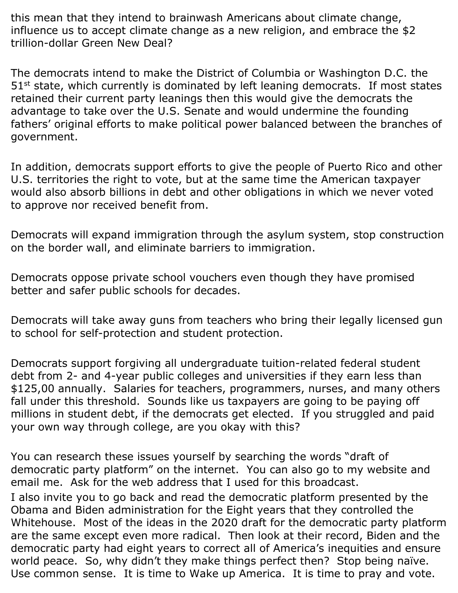this mean that they intend to brainwash Americans about climate change, influence us to accept climate change as a new religion, and embrace the \$2 trillion-dollar Green New Deal?

The democrats intend to make the District of Columbia or Washington D.C. the  $51<sup>st</sup>$  state, which currently is dominated by left leaning democrats. If most states retained their current party leanings then this would give the democrats the advantage to take over the U.S. Senate and would undermine the founding fathers' original efforts to make political power balanced between the branches of government.

In addition, democrats support efforts to give the people of Puerto Rico and other U.S. territories the right to vote, but at the same time the American taxpayer would also absorb billions in debt and other obligations in which we never voted to approve nor received benefit from.

Democrats will expand immigration through the asylum system, stop construction on the border wall, and eliminate barriers to immigration.

Democrats oppose private school vouchers even though they have promised better and safer public schools for decades.

Democrats will take away guns from teachers who bring their legally licensed gun to school for self-protection and student protection.

Democrats support forgiving all undergraduate tuition-related federal student debt from 2- and 4-year public colleges and universities if they earn less than \$125,00 annually. Salaries for teachers, programmers, nurses, and many others fall under this threshold. Sounds like us taxpayers are going to be paying off millions in student debt, if the democrats get elected. If you struggled and paid your own way through college, are you okay with this?

You can research these issues yourself by searching the words "draft of democratic party platform" on the internet. You can also go to my website and email me. Ask for the web address that I used for this broadcast. I also invite you to go back and read the democratic platform presented by the Obama and Biden administration for the Eight years that they controlled the Whitehouse. Most of the ideas in the 2020 draft for the democratic party platform are the same except even more radical. Then look at their record, Biden and the democratic party had eight years to correct all of America's inequities and ensure world peace. So, why didn't they make things perfect then? Stop being naïve. Use common sense. It is time to Wake up America. It is time to pray and vote.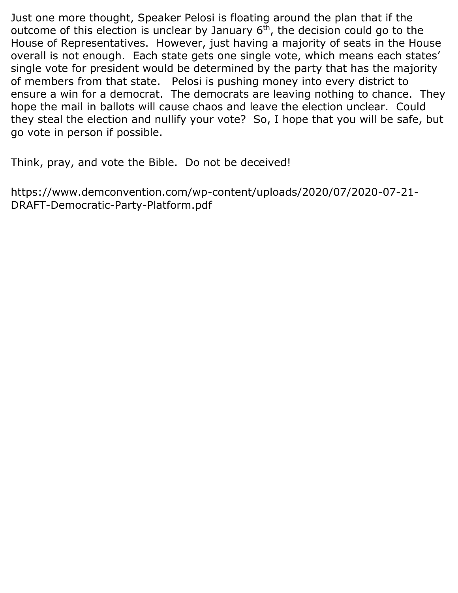Just one more thought, Speaker Pelosi is floating around the plan that if the outcome of this election is unclear by January  $6<sup>th</sup>$ , the decision could go to the House of Representatives. However, just having a majority of seats in the House overall is not enough. Each state gets one single vote, which means each states' single vote for president would be determined by the party that has the majority of members from that state. Pelosi is pushing money into every district to ensure a win for a democrat. The democrats are leaving nothing to chance. They hope the mail in ballots will cause chaos and leave the election unclear. Could they steal the election and nullify your vote? So, I hope that you will be safe, but go vote in person if possible.

Think, pray, and vote the Bible. Do not be deceived!

https://www.demconvention.com/wp-content/uploads/2020/07/2020-07-21- DRAFT-Democratic-Party-Platform.pdf